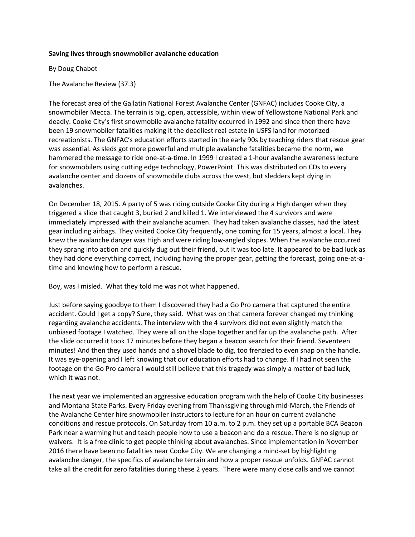## **Saving lives through snowmobiler avalanche education**

By Doug Chabot

The Avalanche Review (37.3)

The forecast area of the Gallatin National Forest Avalanche Center (GNFAC) includes Cooke City, a snowmobiler Mecca. The terrain is big, open, accessible, within view of Yellowstone National Park and deadly. Cooke City's first snowmobile avalanche fatality occurred in 1992 and since then there have been 19 snowmobiler fatalities making it the deadliest real estate in USFS land for motorized recreationists. The GNFAC's education efforts started in the early 90s by teaching riders that rescue gear was essential. As sleds got more powerful and multiple avalanche fatalities became the norm, we hammered the message to ride one-at-a-time. In 1999 I created a 1-hour avalanche awareness lecture for snowmobilers using cutting edge technology, PowerPoint. This was distributed on CDs to every avalanche center and dozens of snowmobile clubs across the west, but sledders kept dying in avalanches.

On December 18, 2015. A party of 5 was riding outside Cooke City during a High danger when they triggered a slide that caught 3, buried 2 and killed 1. We interviewed the 4 survivors and were immediately impressed with their avalanche acumen. They had taken avalanche classes, had the latest gear including airbags. They visited Cooke City frequently, one coming for 15 years, almost a local. They knew the avalanche danger was High and were riding low-angled slopes. When the avalanche occurred they sprang into action and quickly dug out their friend, but it was too late. It appeared to be bad luck as they had done everything correct, including having the proper gear, getting the forecast, going one-at-atime and knowing how to perform a rescue.

Boy, was I misled. What they told me was not what happened.

Just before saying goodbye to them I discovered they had a Go Pro camera that captured the entire accident. Could I get a copy? Sure, they said. What was on that camera forever changed my thinking regarding avalanche accidents. The interview with the 4 survivors did not even slightly match the unbiased footage I watched. They were all on the slope together and far up the avalanche path. After the slide occurred it took 17 minutes before they began a beacon search for their friend. Seventeen minutes! And then they used hands and a shovel blade to dig, too frenzied to even snap on the handle. It was eye-opening and I left knowing that our education efforts had to change. If I had not seen the footage on the Go Pro camera I would still believe that this tragedy was simply a matter of bad luck, which it was not.

The next year we implemented an aggressive education program with the help of Cooke City businesses and Montana State Parks. Every Friday evening from Thanksgiving through mid-March, the Friends of the Avalanche Center hire snowmobiler instructors to lecture for an hour on current avalanche conditions and rescue protocols. On Saturday from 10 a.m. to 2 p.m. they set up a portable BCA Beacon Park near a warming hut and teach people how to use a beacon and do a rescue. There is no signup or waivers. It is a free clinic to get people thinking about avalanches. Since implementation in November 2016 there have been no fatalities near Cooke City. We are changing a mind-set by highlighting avalanche danger, the specifics of avalanche terrain and how a proper rescue unfolds. GNFAC cannot take all the credit for zero fatalities during these 2 years. There were many close calls and we cannot